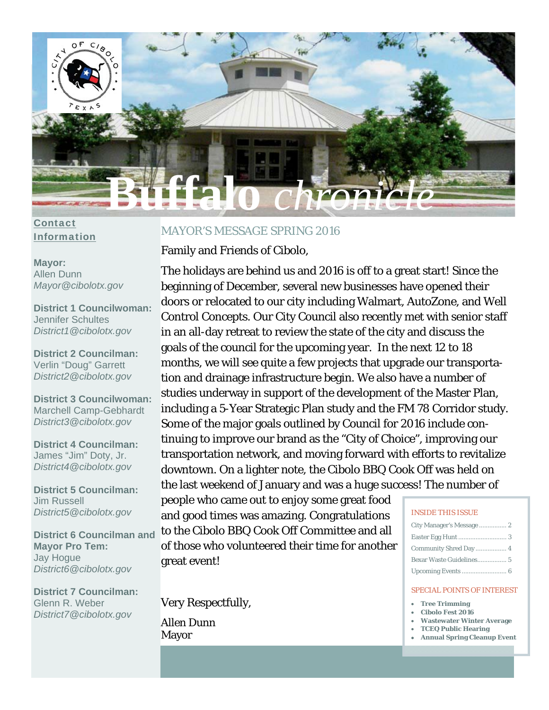

### Contact Information

### **Mayor:**  Allen Dunn *Mayor@cibolotx.gov*

**District 1 Councilwoman:**  Jennifer Schultes *District1@cibolotx.gov* 

**District 2 Councilman:**  Verlin "Doug" Garrett *District2@cibolotx.gov* 

**District 3 Councilwoman:**  Marchell Camp-Gebhardt *District3@cibolotx.gov* 

**District 4 Councilman:**  James "Jim" Doty, Jr. *District4@cibolotx.gov* 

**District 5 Councilman:**  Jim Russell *District5@cibolotx.gov* 

**District 6 Councilman and Mayor Pro Tem:**  Jay Hogue *District6@cibolotx.gov* 

**District 7 Councilman:**  Glenn R. Weber *District7@cibolotx.gov*

## MAYOR'S MESSAGE SPRING 2016

Family and Friends of Cibolo,

The holidays are behind us and 2016 is off to a great start! Since the beginning of December, several new businesses have opened their doors or relocated to our city including Walmart, AutoZone, and Well Control Concepts. Our City Council also recently met with senior staff in an all-day retreat to review the state of the city and discuss the goals of the council for the upcoming year. In the next 12 to 18 months, we will see quite a few projects that upgrade our transportation and drainage infrastructure begin. We also have a number of studies underway in support of the development of the Master Plan, including a 5-Year Strategic Plan study and the FM 78 Corridor study. Some of the major goals outlined by Council for 2016 include continuing to improve our brand as the "City of Choice", improving our transportation network, and moving forward with efforts to revitalize downtown. On a lighter note, the Cibolo BBQ Cook Off was held on the last weekend of January and was a huge success! The number of

people who came out to enjoy some great food and good times was amazing. Congratulations to the Cibolo BBQ Cook Off Committee and all of those who volunteered their time for another great event!

Very Respectfully,

Allen Dunn Mayor

### INSIDE THIS ISSUE

#### SPECIAL POINTS OF INTEREST

- **Tree Trimming**
- **Cibolo Fest 2016**
- **Wastewater Winter Average**
- **TCEQ Public Hearing**
- **Annual Spring Cleanup Event**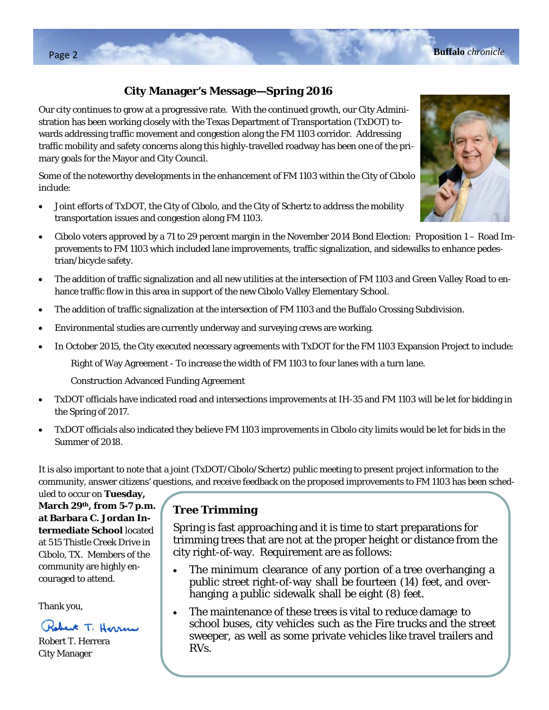## **City Manager's Message—Spring 2016**

Our city continues to grow at a progressive rate. With the continued growth, our City Administration has been working closely with the Texas Department of Transportation (TxDOT) towards addressing traffic movement and congestion along the FM 1103 corridor. Addressing traffic mobility and safety concerns along this highly-travelled roadway has been one of the primary goals for the Mayor and City Council.

Some of the noteworthy developments in the enhancement of FM 1103 within the City of Cibolo include:

- Joint efforts of TxDOT, the City of Cibolo, and the City of Schertz to address the mobility transportation issues and congestion along FM 1103.
- Cibolo voters approved by a 71 to 29 percent margin in the November 2014 Bond Election: Proposition 1 Road Improvements to FM 1103 which included lane improvements, traffic signalization, and sidewalks to enhance pedestrian/bicycle safety.
- The addition of traffic signalization and all new utilities at the intersection of FM 1103 and Green Valley Road to enhance traffic flow in this area in support of the new Cibolo Valley Elementary School.
- The addition of traffic signalization at the intersection of FM 1103 and the Buffalo Crossing Subdivision.
- Environmental studies are currently underway and surveying crews are working.
- In October 2015, the City executed necessary agreements with TxDOT for the FM 1103 Expansion Project to include:

Right of Way Agreement - To increase the width of FM 1103 to four lanes with a turn lane.

Construction Advanced Funding Agreement

- TxDOT officials have indicated road and intersections improvements at IH-35 and FM 1103 will be let for bidding in the Spring of 2017.
- TxDOT officials also indicated they believe FM 1103 improvements in Cibolo city limits would be let for bids in the Summer of 2018.

It is also important to note that a joint (TxDOT/Cibolo/Schertz) public meeting to present project information to the community, answer citizens' questions, and receive feedback on the proposed improvements to FM 1103 has been sched-

uled to occur on **Tuesday, March 29th, from 5-7 p.m. at Barbara C. Jordan Intermediate School** located at 515 Thistle Creek Drive in Cibolo, TX. Members of the community are highly encouraged to attend.

Thank you,

Robert T. Horrow

Robert T. Herrera City Manager

## **Tree Trimming**

Spring is fast approaching and it is time to start preparations for trimming trees that are not at the proper height or distance from the city right-of-way. Requirement are as follows:

- The minimum clearance of any portion of a tree overhanging a public street right-of-way shall be fourteen (14) feet, and overhanging a public sidewalk shall be eight (8) feet.
- The maintenance of these trees is vital to reduce damage to school buses, city vehicles such as the Fire trucks and the street sweeper, as well as some private vehicles like travel trailers and RVs.

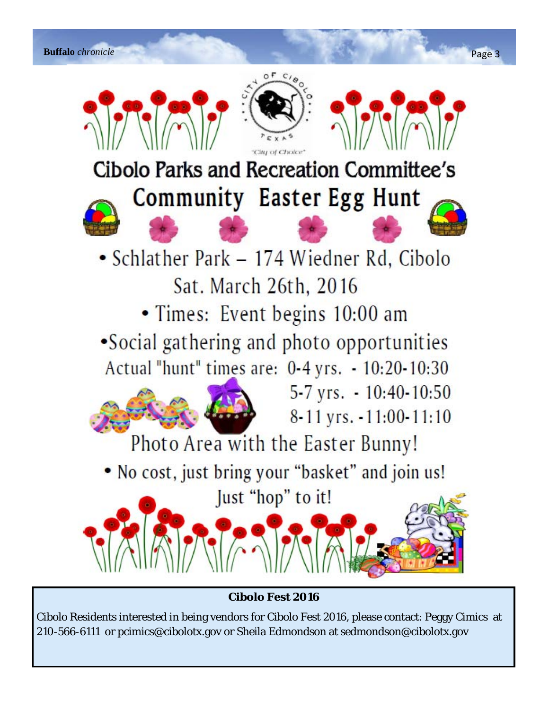

**Cibolo Fest 2016** 

Cibolo Residents interested in being vendors for Cibolo Fest 2016, please contact: Peggy Cimics at 210-566-6111 or pcimics@cibolotx.gov or Sheila Edmondson at sedmondson@cibolotx.gov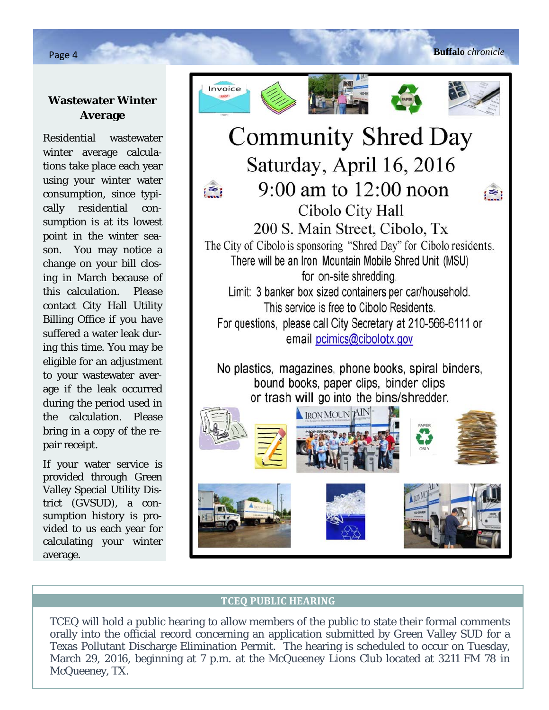## **Wastewater Winter Average**

Residential wastewater winter average calculations take place each year using your winter water consumption, since typically residential consumption is at its lowest point in the winter season. You may notice a change on your bill closing in March because of this calculation. Please contact City Hall Utility Billing Office if you have suffered a water leak during this time. You may be eligible for an adjustment to your wastewater average if the leak occurred during the period used in the calculation. Please bring in a copy of the repair receipt.

If your water service is provided through Green Valley Special Utility District (GVSUD), a consumption history is provided to us each year for calculating your winter average.











# **Community Shred Day** Saturday, April 16, 2016  $9:00$  am to  $12:00$  noon Cibolo City Hall 200 S. Main Street, Cibolo, Tx The City of Cibolo is sponsoring "Shred Day" for Cibolo residents. There will be an Iron Mountain Mobile Shred Unit (MSU) for on-site shredding. Limit: 3 banker box sized containers per car/household.

This service is free to Cibolo Residents. For questions, please call City Secretary at 210-566-6111 or email pcimics@cibolotx.gov

No plastics, magazines, phone books, spiral binders, bound books, paper clips, binder clips or trash will go into the bins/shredder.



### **TCEQ PUBLIC HEARING**

TCEQ will hold a public hearing to allow members of the public to state their formal comments orally into the official record concerning an application submitted by Green Valley SUD for a Texas Pollutant Discharge Elimination Permit. The hearing is scheduled to occur on Tuesday, March 29, 2016, beginning at 7 p.m. at the McQueeney Lions Club located at 3211 FM 78 in McQueeney, TX.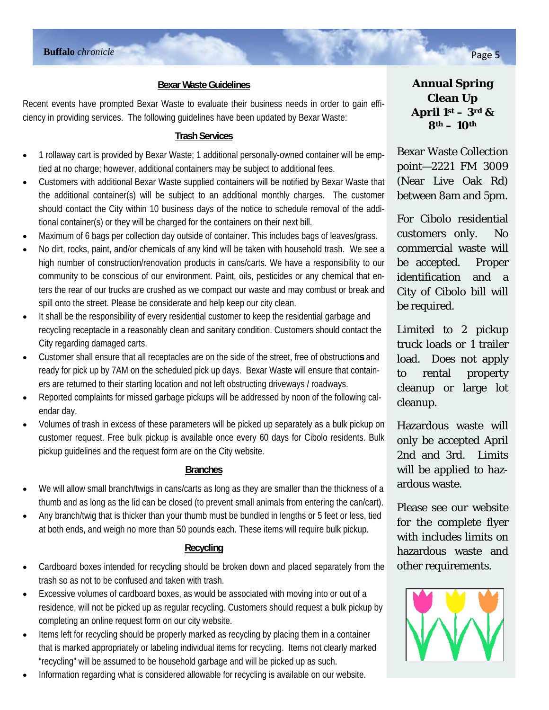### **Bexar Waste Guidelines**

Recent events have prompted Bexar Waste to evaluate their business needs in order to gain efficiency in providing services. The following guidelines have been updated by Bexar Waste:

### **Trash Services**

- 1 rollaway cart is provided by Bexar Waste; 1 additional personally-owned container will be emptied at no charge; however, additional containers may be subject to additional fees.
- Customers with additional Bexar Waste supplied containers will be notified by Bexar Waste that the additional container(s) will be subject to an additional monthly charges. The customer should contact the City within 10 business days of the notice to schedule removal of the additional container(s) or they will be charged for the containers on their next bill.
- Maximum of 6 bags per collection day outside of container. This includes bags of leaves/grass.
- No dirt, rocks, paint, and/or chemicals of any kind will be taken with household trash. We see a high number of construction/renovation products in cans/carts. We have a responsibility to our community to be conscious of our environment. Paint, oils, pesticides or any chemical that enters the rear of our trucks are crushed as we compact our waste and may combust or break and spill onto the street. Please be considerate and help keep our city clean.
- It shall be the responsibility of every residential customer to keep the residential garbage and recycling receptacle in a reasonably clean and sanitary condition. Customers should contact the City regarding damaged carts.
- Customer shall ensure that all receptacles are on the side of the street, free of obstruction**s** and ready for pick up by 7AM on the scheduled pick up days. Bexar Waste will ensure that containers are returned to their starting location and not left obstructing driveways / roadways.
- Reported complaints for missed garbage pickups will be addressed by noon of the following calendar day.
- Volumes of trash in excess of these parameters will be picked up separately as a bulk pickup on customer request. Free bulk pickup is available once every 60 days for Cibolo residents. Bulk pickup guidelines and the request form are on the City website.

### **Branches**

- We will allow small branch/twigs in cans/carts as long as they are smaller than the thickness of a thumb and as long as the lid can be closed (to prevent small animals from entering the can/cart).
- Any branch/twig that is thicker than your thumb must be bundled in lengths or 5 feet or less, tied at both ends, and weigh no more than 50 pounds each. These items will require bulk pickup.

### **Recycling**

- Cardboard boxes intended for recycling should be broken down and placed separately from the trash so as not to be confused and taken with trash.
- Excessive volumes of cardboard boxes, as would be associated with moving into or out of a residence, will not be picked up as regular recycling. Customers should request a bulk pickup by completing an online request form on our city website.
- Items left for recycling should be properly marked as recycling by placing them in a container that is marked appropriately or labeling individual items for recycling. Items not clearly marked "recycling" will be assumed to be household garbage and will be picked up as such.
- Information regarding what is considered allowable for recycling is available on our website.

**Annual Spring Clean Up April 1st – 3rd & 8th – 10th**

Bexar Waste Collection point—2221 FM 3009 (Near Live Oak Rd) between 8am and 5pm.

For Cibolo residential customers only. No commercial waste will be accepted. Proper identification and a City of Cibolo bill will be required.

Limited to 2 pickup truck loads or 1 trailer load. Does not apply to rental property cleanup or large lot cleanup.

Hazardous waste will only be accepted April 2nd and 3rd. Limits will be applied to hazardous waste.

Please see our website for the complete flyer with includes limits on hazardous waste and other requirements.